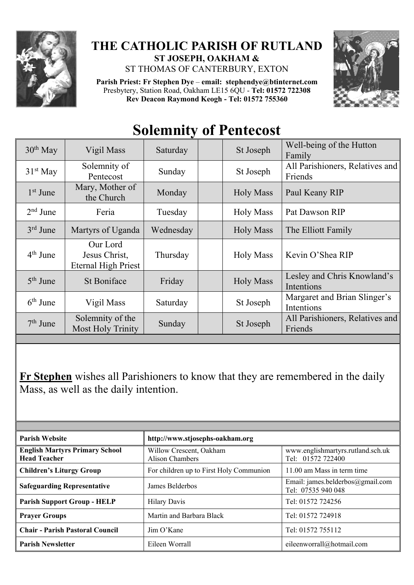

## **THE CATHOLIC PARISH OF RUTLAND ST JOSEPH, OAKHAM &**

ST THOMAS OF CANTERBURY, EXTON

**Parish Priest: Fr Stephen Dye** – **[email: stephendye@btinternet.com](mailto:email:%20%20stephendye@btinternet.com)** Presbytery, Station Road, Oakham LE15 6QU - **Tel: 01572 722308 Rev Deacon Raymond Keogh - Tel: 01572 755360**



## **Solemnity of Pentecost**

| $30th$ May | Vigil Mass                                              | Saturday  | St Joseph        | Well-being of the Hutton<br>Family         |
|------------|---------------------------------------------------------|-----------|------------------|--------------------------------------------|
| $31st$ May | Solemnity of<br>Pentecost                               | Sunday    | St Joseph        | All Parishioners, Relatives and<br>Friends |
| $1st$ June | Mary, Mother of<br>the Church                           | Monday    | <b>Holy Mass</b> | Paul Keany RIP                             |
| $2nd$ June | Feria                                                   | Tuesday   | <b>Holy Mass</b> | Pat Dawson RIP                             |
| $3rd$ June | Martyrs of Uganda                                       | Wednesday | <b>Holy Mass</b> | The Elliott Family                         |
| $4th$ June | Our Lord<br>Jesus Christ,<br><b>Eternal High Priest</b> | Thursday  | <b>Holy Mass</b> | Kevin O'Shea RIP                           |
| $5th$ June | <b>St Boniface</b>                                      | Friday    | <b>Holy Mass</b> | Lesley and Chris Knowland's<br>Intentions  |
| $6th$ June | Vigil Mass                                              | Saturday  | St Joseph        | Margaret and Brian Slinger's<br>Intentions |
| $7th$ June | Solemnity of the<br>Most Holy Trinity                   | Sunday    | St Joseph        | All Parishioners, Relatives and<br>Friends |

**Fr Stephen** wishes all Parishioners to know that they are remembered in the daily Mass, as well as the daily intention.

| <b>Parish Website</b>                                        | http://www.stjosephs-oakham.org            |                                                        |  |
|--------------------------------------------------------------|--------------------------------------------|--------------------------------------------------------|--|
| <b>English Martyrs Primary School</b><br><b>Head Teacher</b> | Willow Crescent, Oakham<br>Alison Chambers | www.englishmartyrs.rutland.sch.uk<br>Tel: 01572 722400 |  |
| <b>Children's Liturgy Group</b>                              | For children up to First Holy Communion    | 11.00 am Mass in term time                             |  |
| <b>Safeguarding Representative</b>                           | James Belderbos                            | Email: james.belderbos@gmail.com<br>Tel: 07535 940 048 |  |
| <b>Parish Support Group - HELP</b>                           | <b>Hilary Davis</b>                        | Tel: 01572 724256                                      |  |
| <b>Prayer Groups</b>                                         | Martin and Barbara Black                   | Tel: 01572 724918                                      |  |
| <b>Chair - Parish Pastoral Council</b>                       | Jim O'Kane                                 | Tel: 01572 755112                                      |  |
| <b>Parish Newsletter</b>                                     | Eileen Worrall                             | eileenworrall@hotmail.com                              |  |